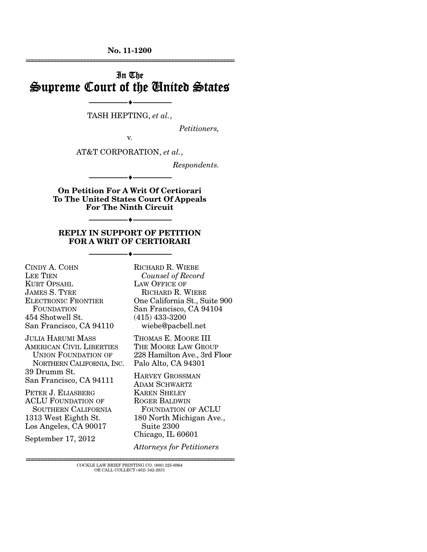**No. 11-1200**  ================================================================

# In The Supreme Court of the United States

--------------------------------- --------------------------------- TASH HEPTING, *et al.*,

*Petitioners,* 

v.

AT&T CORPORATION, *et al.*,

*Respondents.* 

**On Petition For A Writ Of Certiorari To The United States Court Of Appeals For The Ninth Circuit** 

--------------------------------- ---------------------------------

--------------------------------- ---------------------------------

#### **REPLY IN SUPPORT OF PETITION FOR A WRIT OF CERTIORARI**

--------------------------------- ---------------------------------

CINDY A. COHN LEE TIEN KURT OPSAHL JAMES S. TYRE ELECTRONIC FRONTIER FOUNDATION 454 Shotwell St. San Francisco, CA 94110

JULIA HARUMI MASS AMERICAN CIVIL LIBERTIES UNION FOUNDATION OF NORTHERN CALIFORNIA, INC. 39 Drumm St. San Francisco, CA 94111

PETER J. ELIASBERG ACLU FOUNDATION OF SOUTHERN CALIFORNIA 1313 West Eighth St. Los Angeles, CA 90017

September 17, 2012

RICHARD R. WIEBE *Counsel of Record* LAW OFFICE OF RICHARD R. WIEBE One California St., Suite 900 San Francisco, CA 94104 (415) 433-3200 wiebe@pacbell.net

THOMAS E. MOORE III THE MOORE LAW GROUP 228 Hamilton Ave., 3rd Floor Palo Alto, CA 94301

HARVEY GROSSMAN ADAM SCHWARTZ KAREN SHELEY ROGER BALDWIN FOUNDATION OF ACLU 180 North Michigan Ave., Suite 2300 Chicago, IL 60601

*Attorneys for Petitioners*

================================================================ COCKLE LAW BRIEF PRINTING CO. (800) 225-6964 OR CALL COLLECT (402) 342-2831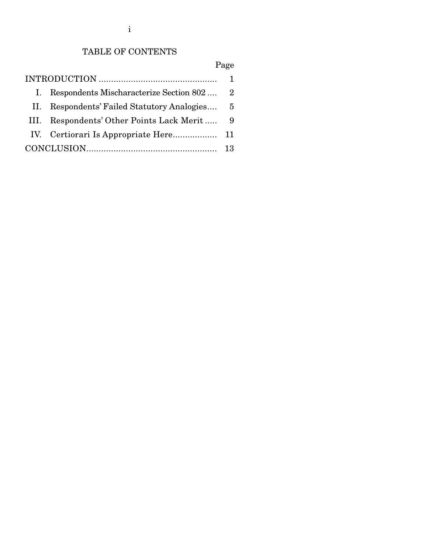i

## TABLE OF CONTENTS

Page

| $\mathbf{I}$ . | Respondents Mischaracterize Section 802 2     |     |
|----------------|-----------------------------------------------|-----|
|                | II. Respondents' Failed Statutory Analogies 5 |     |
|                | III. Respondents' Other Points Lack Merit 9   |     |
|                |                                               |     |
|                |                                               | -13 |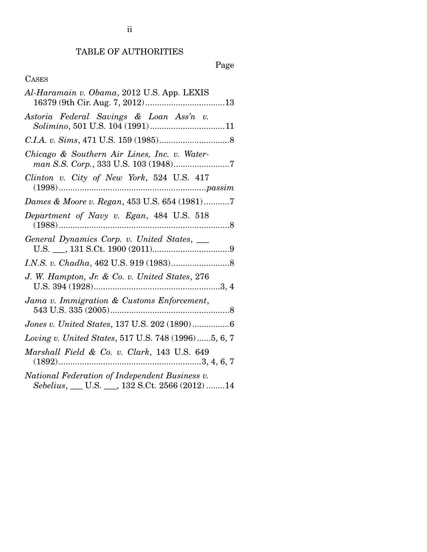## TABLE OF AUTHORITIES

# Page

# CASES

| Al-Haramain v. Obama, 2012 U.S. App. LEXIS                                                       |
|--------------------------------------------------------------------------------------------------|
| Astoria Federal Savings & Loan Ass'n v.                                                          |
|                                                                                                  |
| Chicago & Southern Air Lines, Inc. v. Water-                                                     |
| Clinton v. City of New York, 524 U.S. 417<br>$(1998) \dots 1998$                                 |
| Dames & Moore v. Regan, 453 U.S. 654 (1981)7                                                     |
| Department of Navy v. Egan, 484 U.S. 518                                                         |
| General Dynamics Corp. v. United States, ____                                                    |
|                                                                                                  |
| J. W. Hampton, Jr. & Co. v. United States, 276                                                   |
| Jama v. Immigration & Customs Enforcement,                                                       |
| Jones v. United States, 137 U.S. 202 (1890)6                                                     |
| Loving v. United States, 517 U.S. 748 (1996)5, 6, 7                                              |
| Marshall Field & Co. v. Clark, 143 U.S. 649                                                      |
| National Federation of Independent Business v.<br>Sebelius, __ U.S. __, 132 S.Ct. 2566 (2012) 14 |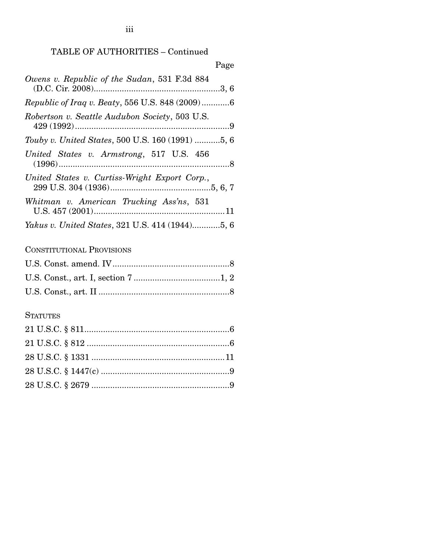### TABLE OF AUTHORITIES – Continued

| Page                                                   |
|--------------------------------------------------------|
| Owens v. Republic of the Sudan, 531 F.3d 884           |
| Republic of Iraq v. Beaty, 556 U.S. 848 (2009)6        |
| Robertson v. Seattle Audubon Society, 503 U.S.         |
| Touby v. United States, 500 U.S. 160 (1991) 5, 6       |
| United States v. Armstrong, 517 U.S. 456               |
| United States v. Curtiss-Wright Export Corp.,          |
| Whitman v. American Trucking Ass'ns, 531               |
| <i>Yakus v. United States, 321 U.S. 414 (1944)5, 6</i> |

### CONSTITUTIONAL PROVISIONS

### **STATUTES**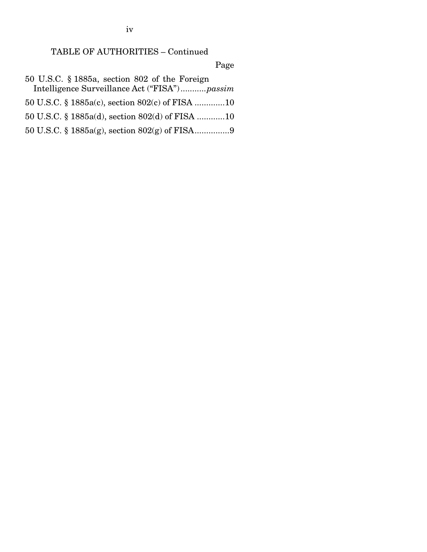TABLE OF AUTHORITIES – Continued

Page

- 50 U.S.C. § 1885a, section 802 of the Foreign Intelligence Surveillance Act ("FISA") ........... *passim*
- 50 U.S.C. § 1885a(c), section 802(c) of FISA ............. 10
- 50 U.S.C. § 1885a(d), section 802(d) of FISA ............ 10
- 50 U.S.C. § 1885a(g), section 802(g) of FISA ............... 9

iv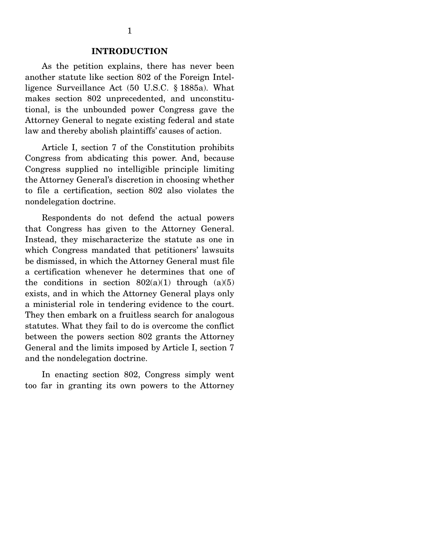#### **INTRODUCTION**

 As the petition explains, there has never been another statute like section 802 of the Foreign Intelligence Surveillance Act (50 U.S.C. § 1885a). What makes section 802 unprecedented, and unconstitutional, is the unbounded power Congress gave the Attorney General to negate existing federal and state law and thereby abolish plaintiffs' causes of action.

 Article I, section 7 of the Constitution prohibits Congress from abdicating this power. And, because Congress supplied no intelligible principle limiting the Attorney General's discretion in choosing whether to file a certification, section 802 also violates the nondelegation doctrine.

 Respondents do not defend the actual powers that Congress has given to the Attorney General. Instead, they mischaracterize the statute as one in which Congress mandated that petitioners' lawsuits be dismissed, in which the Attorney General must file a certification whenever he determines that one of the conditions in section  $802(a)(1)$  through  $(a)(5)$ exists, and in which the Attorney General plays only a ministerial role in tendering evidence to the court. They then embark on a fruitless search for analogous statutes. What they fail to do is overcome the conflict between the powers section 802 grants the Attorney General and the limits imposed by Article I, section 7 and the nondelegation doctrine.

 In enacting section 802, Congress simply went too far in granting its own powers to the Attorney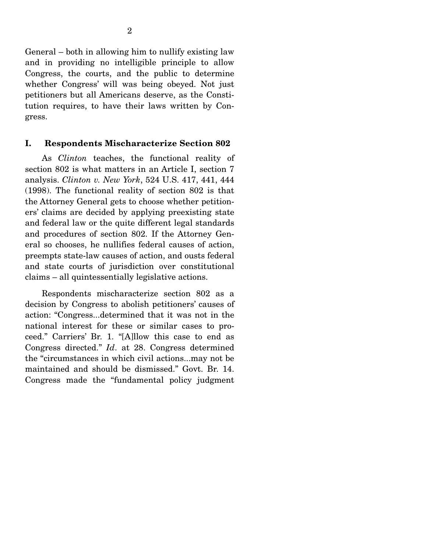General – both in allowing him to nullify existing law and in providing no intelligible principle to allow Congress, the courts, and the public to determine whether Congress' will was being obeyed. Not just petitioners but all Americans deserve, as the Constitution requires, to have their laws written by Congress.

### **I. Respondents Mischaracterize Section 802**

 As *Clinton* teaches, the functional reality of section 802 is what matters in an Article I, section 7 analysis. *Clinton v. New York*, 524 U.S. 417, 441, 444 (1998). The functional reality of section 802 is that the Attorney General gets to choose whether petitioners' claims are decided by applying preexisting state and federal law or the quite different legal standards and procedures of section 802. If the Attorney General so chooses, he nullifies federal causes of action, preempts state-law causes of action, and ousts federal and state courts of jurisdiction over constitutional claims – all quintessentially legislative actions.

 Respondents mischaracterize section 802 as a decision by Congress to abolish petitioners' causes of action: "Congress...determined that it was not in the national interest for these or similar cases to proceed." Carriers' Br. 1. "[A]llow this case to end as Congress directed." *Id*. at 28. Congress determined the "circumstances in which civil actions...may not be maintained and should be dismissed." Govt. Br. 14. Congress made the "fundamental policy judgment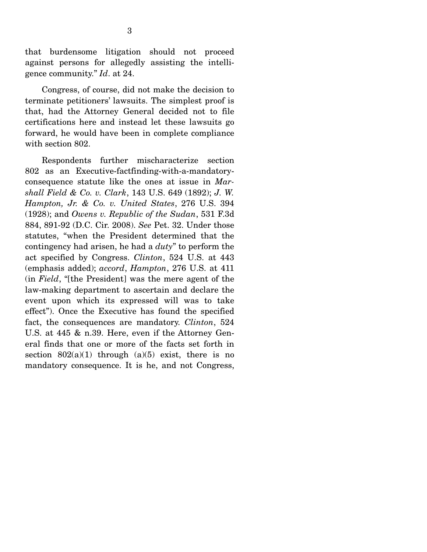that burdensome litigation should not proceed against persons for allegedly assisting the intelligence community." *Id*. at 24.

 Congress, of course, did not make the decision to terminate petitioners' lawsuits. The simplest proof is that, had the Attorney General decided not to file certifications here and instead let these lawsuits go forward, he would have been in complete compliance with section 802.

 Respondents further mischaracterize section 802 as an Executive-factfinding-with-a-mandatoryconsequence statute like the ones at issue in *Marshall Field & Co. v. Clark*, 143 U.S. 649 (1892); *J. W. Hampton, Jr. & Co. v. United States*, 276 U.S. 394 (1928); and *Owens v. Republic of the Sudan*, 531 F.3d 884, 891-92 (D.C. Cir. 2008). *See* Pet. 32. Under those statutes, "when the President determined that the contingency had arisen, he had a *duty*" to perform the act specified by Congress. *Clinton*, 524 U.S. at 443 (emphasis added); *accord*, *Hampton*, 276 U.S. at 411 (in *Field*, "[the President] was the mere agent of the law-making department to ascertain and declare the event upon which its expressed will was to take effect"). Once the Executive has found the specified fact, the consequences are mandatory. *Clinton*, 524 U.S. at 445 & n.39. Here, even if the Attorney General finds that one or more of the facts set forth in section  $802(a)(1)$  through  $(a)(5)$  exist, there is no mandatory consequence. It is he, and not Congress,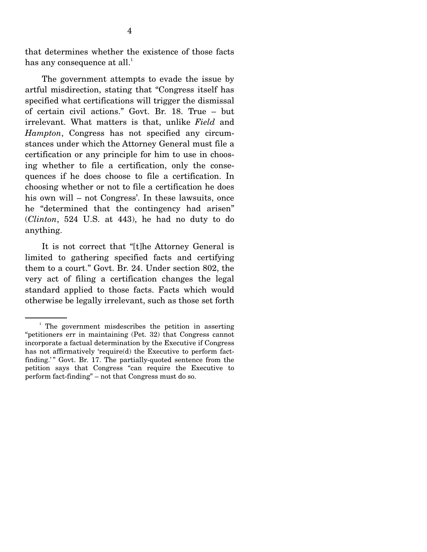that determines whether the existence of those facts has any consequence at all. $^{\rm 1}$ 

 The government attempts to evade the issue by artful misdirection, stating that "Congress itself has specified what certifications will trigger the dismissal of certain civil actions." Govt. Br. 18. True – but irrelevant. What matters is that, unlike *Field* and *Hampton*, Congress has not specified any circumstances under which the Attorney General must file a certification or any principle for him to use in choosing whether to file a certification, only the consequences if he does choose to file a certification. In choosing whether or not to file a certification he does his own will – not Congress'. In these lawsuits, once he "determined that the contingency had arisen" (*Clinton*, 524 U.S. at 443), he had no duty to do anything.

 It is not correct that "[t]he Attorney General is limited to gathering specified facts and certifying them to a court." Govt. Br. 24. Under section 802, the very act of filing a certification changes the legal standard applied to those facts. Facts which would otherwise be legally irrelevant, such as those set forth

<sup>&</sup>lt;sup>1</sup> The government misdescribes the petition in asserting "petitioners err in maintaining (Pet. 32) that Congress cannot incorporate a factual determination by the Executive if Congress has not affirmatively 'require(d) the Executive to perform factfinding.'" Govt. Br. 17. The partially-quoted sentence from the petition says that Congress "can require the Executive to perform fact-finding" – not that Congress must do so.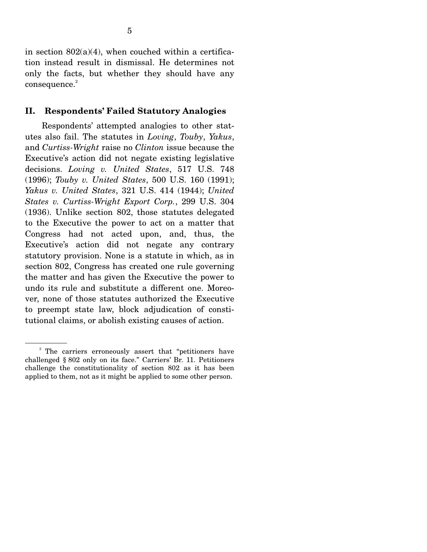in section  $802(a)(4)$ , when couched within a certification instead result in dismissal. He determines not only the facts, but whether they should have any  $consequence.<sup>2</sup>$ 

### **II. Respondents' Failed Statutory Analogies**

 Respondents' attempted analogies to other statutes also fail. The statutes in *Loving*, *Touby*, *Yakus*, and *Curtiss-Wright* raise no *Clinton* issue because the Executive's action did not negate existing legislative decisions. *Loving v. United States*, 517 U.S. 748 (1996); *Touby v. United States*, 500 U.S. 160 (1991); *Yakus v. United States*, 321 U.S. 414 (1944); *United States v. Curtiss-Wright Export Corp.*, 299 U.S. 304 (1936). Unlike section 802, those statutes delegated to the Executive the power to act on a matter that Congress had not acted upon, and, thus, the Executive's action did not negate any contrary statutory provision. None is a statute in which, as in section 802, Congress has created one rule governing the matter and has given the Executive the power to undo its rule and substitute a different one. Moreover, none of those statutes authorized the Executive to preempt state law, block adjudication of constitutional claims, or abolish existing causes of action.

<sup>&</sup>lt;sup>2</sup> The carriers erroneously assert that "petitioners have challenged § 802 only on its face." Carriers' Br. 11. Petitioners challenge the constitutionality of section 802 as it has been applied to them, not as it might be applied to some other person.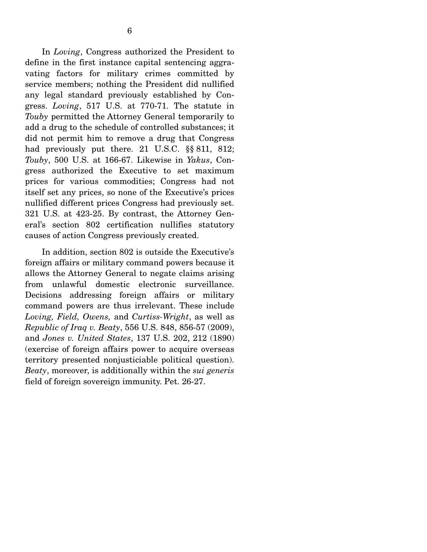In *Loving*, Congress authorized the President to define in the first instance capital sentencing aggravating factors for military crimes committed by service members; nothing the President did nullified any legal standard previously established by Congress. *Loving*, 517 U.S. at 770-71. The statute in *Touby* permitted the Attorney General temporarily to add a drug to the schedule of controlled substances; it did not permit him to remove a drug that Congress had previously put there. 21 U.S.C. §§ 811, 812; *Touby*, 500 U.S. at 166-67. Likewise in *Yakus*, Congress authorized the Executive to set maximum prices for various commodities; Congress had not itself set any prices, so none of the Executive's prices nullified different prices Congress had previously set. 321 U.S. at 423-25. By contrast, the Attorney General's section 802 certification nullifies statutory causes of action Congress previously created.

 In addition, section 802 is outside the Executive's foreign affairs or military command powers because it allows the Attorney General to negate claims arising from unlawful domestic electronic surveillance. Decisions addressing foreign affairs or military command powers are thus irrelevant. These include *Loving, Field, Owens,* and *Curtiss-Wright*, as well as *Republic of Iraq v. Beaty*, 556 U.S. 848, 856-57 (2009), and *Jones v. United States*, 137 U.S. 202, 212 (1890) (exercise of foreign affairs power to acquire overseas territory presented nonjusticiable political question). *Beaty*, moreover, is additionally within the *sui generis* field of foreign sovereign immunity. Pet. 26-27.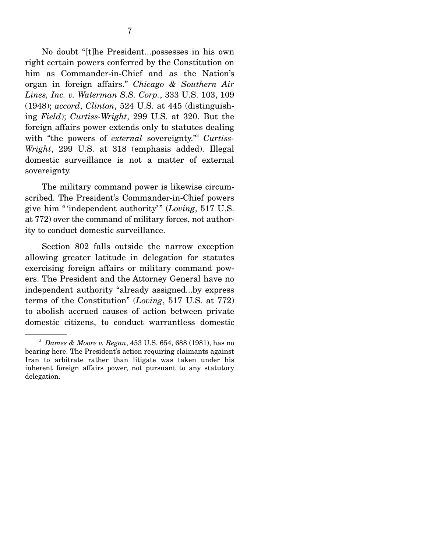No doubt "[t]he President...possesses in his own right certain powers conferred by the Constitution on him as Commander-in-Chief and as the Nation's organ in foreign affairs." *Chicago & Southern Air Lines, Inc. v. Waterman S.S. Corp.*, 333 U.S. 103, 109 (1948); *accord*, *Clinton*, 524 U.S. at 445 (distinguishing *Field*); *Curtiss-Wright*, 299 U.S. at 320. But the foreign affairs power extends only to statutes dealing with "the powers of *external* sovereignty." Curtiss-*Wright*, 299 U.S. at 318 (emphasis added). Illegal domestic surveillance is not a matter of external sovereignty.

 The military command power is likewise circumscribed. The President's Commander-in-Chief powers give him " 'independent authority' " (*Loving*, 517 U.S. at 772) over the command of military forces, not authority to conduct domestic surveillance.

 Section 802 falls outside the narrow exception allowing greater latitude in delegation for statutes exercising foreign affairs or military command powers. The President and the Attorney General have no independent authority "already assigned...by express terms of the Constitution" (*Loving*, 517 U.S. at 772) to abolish accrued causes of action between private domestic citizens, to conduct warrantless domestic

<sup>3</sup> *Dames & Moore v. Regan*, 453 U.S. 654, 688 (1981), has no bearing here. The President's action requiring claimants against Iran to arbitrate rather than litigate was taken under his inherent foreign affairs power, not pursuant to any statutory delegation.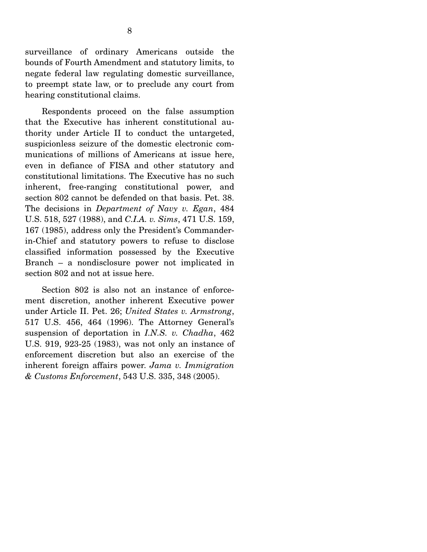surveillance of ordinary Americans outside the bounds of Fourth Amendment and statutory limits, to negate federal law regulating domestic surveillance, to preempt state law, or to preclude any court from hearing constitutional claims.

 Respondents proceed on the false assumption that the Executive has inherent constitutional authority under Article II to conduct the untargeted, suspicionless seizure of the domestic electronic communications of millions of Americans at issue here, even in defiance of FISA and other statutory and constitutional limitations. The Executive has no such inherent, free-ranging constitutional power, and section 802 cannot be defended on that basis. Pet. 38. The decisions in *Department of Navy v. Egan*, 484 U.S. 518, 527 (1988), and *C.I.A. v. Sims*, 471 U.S. 159, 167 (1985), address only the President's Commanderin-Chief and statutory powers to refuse to disclose classified information possessed by the Executive Branch – a nondisclosure power not implicated in section 802 and not at issue here.

 Section 802 is also not an instance of enforcement discretion, another inherent Executive power under Article II. Pet. 26; *United States v. Armstrong*, 517 U.S. 456, 464 (1996). The Attorney General's suspension of deportation in *I.N.S. v. Chadha*, 462 U.S. 919, 923-25 (1983), was not only an instance of enforcement discretion but also an exercise of the inherent foreign affairs power. *Jama v. Immigration & Customs Enforcement*, 543 U.S. 335, 348 (2005).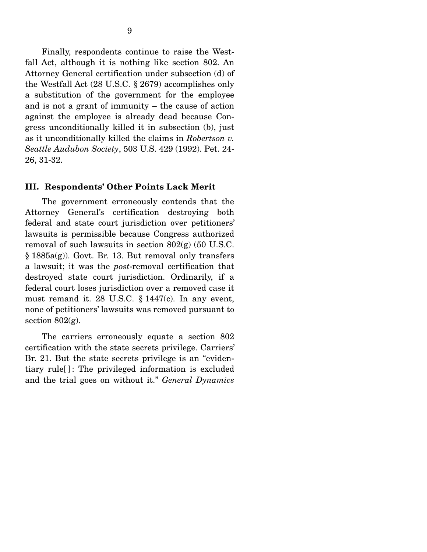Finally, respondents continue to raise the Westfall Act, although it is nothing like section 802. An Attorney General certification under subsection (d) of the Westfall Act (28 U.S.C. § 2679) accomplishes only a substitution of the government for the employee and is not a grant of immunity – the cause of action against the employee is already dead because Congress unconditionally killed it in subsection (b), just as it unconditionally killed the claims in *Robertson v. Seattle Audubon Society*, 503 U.S. 429 (1992). Pet. 24- 26, 31-32.

#### **III. Respondents' Other Points Lack Merit**

 The government erroneously contends that the Attorney General's certification destroying both federal and state court jurisdiction over petitioners' lawsuits is permissible because Congress authorized removal of such lawsuits in section 802(g) (50 U.S.C. § 1885a(g)). Govt. Br. 13. But removal only transfers a lawsuit; it was the *post*-removal certification that destroyed state court jurisdiction. Ordinarily, if a federal court loses jurisdiction over a removed case it must remand it. 28 U.S.C. § 1447(c). In any event, none of petitioners' lawsuits was removed pursuant to section  $802(g)$ .

 The carriers erroneously equate a section 802 certification with the state secrets privilege. Carriers' Br. 21. But the state secrets privilege is an "evidentiary rule<sup>[]</sup>: The privileged information is excluded and the trial goes on without it." *General Dynamics*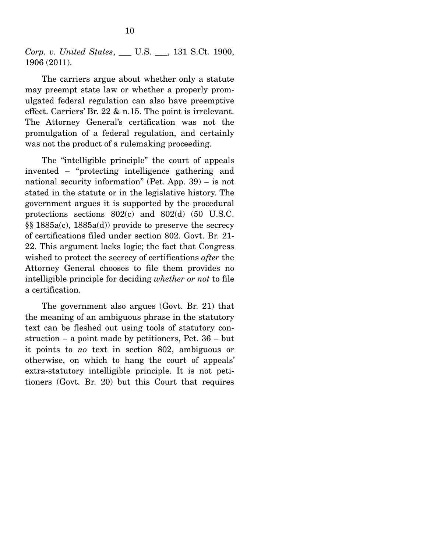*Corp. v. United States*, \_\_\_ U.S. \_\_\_, 131 S.Ct. 1900, 1906 (2011).

 The carriers argue about whether only a statute may preempt state law or whether a properly promulgated federal regulation can also have preemptive effect. Carriers' Br. 22 & n.15. The point is irrelevant. The Attorney General's certification was not the promulgation of a federal regulation, and certainly was not the product of a rulemaking proceeding.

 The "intelligible principle" the court of appeals invented – "protecting intelligence gathering and national security information" (Pet. App. 39) – is not stated in the statute or in the legislative history. The government argues it is supported by the procedural protections sections 802(c) and 802(d) (50 U.S.C. §§ 1885a(c), 1885a(d)) provide to preserve the secrecy of certifications filed under section 802. Govt. Br. 21- 22. This argument lacks logic; the fact that Congress wished to protect the secrecy of certifications *after* the Attorney General chooses to file them provides no intelligible principle for deciding *whether or not* to file a certification.

 The government also argues (Govt. Br. 21) that the meaning of an ambiguous phrase in the statutory text can be fleshed out using tools of statutory construction – a point made by petitioners, Pet. 36 – but it points to *no* text in section 802, ambiguous or otherwise, on which to hang the court of appeals' extra-statutory intelligible principle. It is not petitioners (Govt. Br. 20) but this Court that requires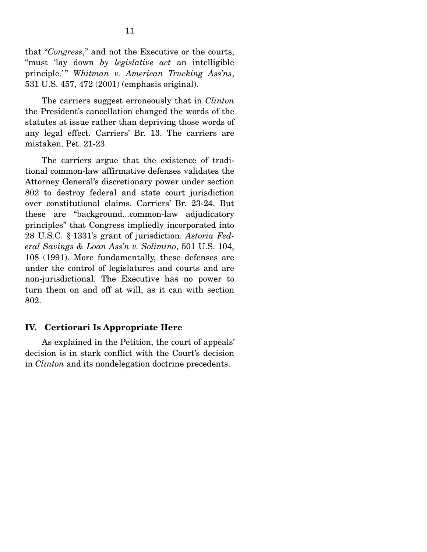that "*Congress*," and not the Executive or the courts, "must 'lay down *by legislative act* an intelligible principle.'" Whitman v. American Trucking Ass'ns, 531 U.S. 457, 472 (2001) (emphasis original).

 The carriers suggest erroneously that in *Clinton* the President's cancellation changed the words of the statutes at issue rather than depriving those words of any legal effect. Carriers' Br. 13. The carriers are mistaken. Pet. 21-23.

 The carriers argue that the existence of traditional common-law affirmative defenses validates the Attorney General's discretionary power under section 802 to destroy federal and state court jurisdiction over constitutional claims. Carriers' Br. 23-24. But these are "background...common-law adjudicatory principles" that Congress impliedly incorporated into 28 U.S.C. § 1331's grant of jurisdiction. *Astoria Federal Savings & Loan Ass'n v. Solimino*, 501 U.S. 104, 108 (1991). More fundamentally, these defenses are under the control of legislatures and courts and are non-jurisdictional. The Executive has no power to turn them on and off at will, as it can with section 802.

### **IV. Certiorari Is Appropriate Here**

 As explained in the Petition, the court of appeals' decision is in stark conflict with the Court's decision in *Clinton* and its nondelegation doctrine precedents.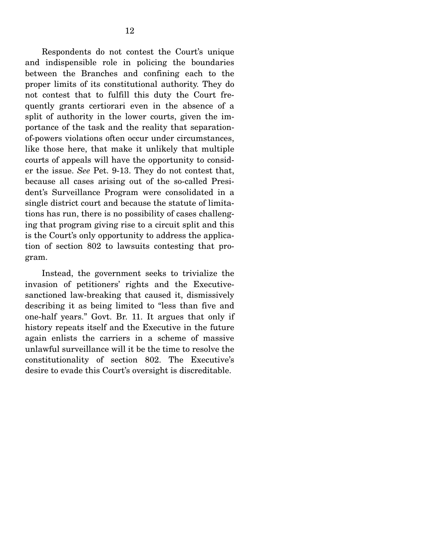Respondents do not contest the Court's unique and indispensible role in policing the boundaries between the Branches and confining each to the proper limits of its constitutional authority. They do not contest that to fulfill this duty the Court frequently grants certiorari even in the absence of a split of authority in the lower courts, given the importance of the task and the reality that separationof-powers violations often occur under circumstances, like those here, that make it unlikely that multiple courts of appeals will have the opportunity to consider the issue. *See* Pet. 9-13. They do not contest that, because all cases arising out of the so-called President's Surveillance Program were consolidated in a single district court and because the statute of limitations has run, there is no possibility of cases challenging that program giving rise to a circuit split and this is the Court's only opportunity to address the application of section 802 to lawsuits contesting that program.

 Instead, the government seeks to trivialize the invasion of petitioners' rights and the Executivesanctioned law-breaking that caused it, dismissively describing it as being limited to "less than five and one-half years." Govt. Br. 11. It argues that only if history repeats itself and the Executive in the future again enlists the carriers in a scheme of massive unlawful surveillance will it be the time to resolve the constitutionality of section 802. The Executive's desire to evade this Court's oversight is discreditable.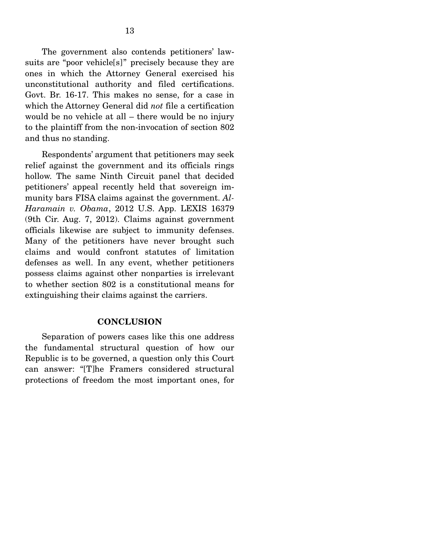The government also contends petitioners' lawsuits are "poor vehicle[s]" precisely because they are ones in which the Attorney General exercised his unconstitutional authority and filed certifications. Govt. Br. 16-17. This makes no sense, for a case in which the Attorney General did *not* file a certification would be no vehicle at all – there would be no injury to the plaintiff from the non-invocation of section 802 and thus no standing.

 Respondents' argument that petitioners may seek relief against the government and its officials rings hollow. The same Ninth Circuit panel that decided petitioners' appeal recently held that sovereign immunity bars FISA claims against the government. *Al-Haramain v. Obama*, 2012 U.S. App. LEXIS 16379 (9th Cir. Aug. 7, 2012). Claims against government officials likewise are subject to immunity defenses. Many of the petitioners have never brought such claims and would confront statutes of limitation defenses as well. In any event, whether petitioners possess claims against other nonparties is irrelevant to whether section 802 is a constitutional means for extinguishing their claims against the carriers.

### **CONCLUSION**

 Separation of powers cases like this one address the fundamental structural question of how our Republic is to be governed, a question only this Court can answer: "[T]he Framers considered structural protections of freedom the most important ones, for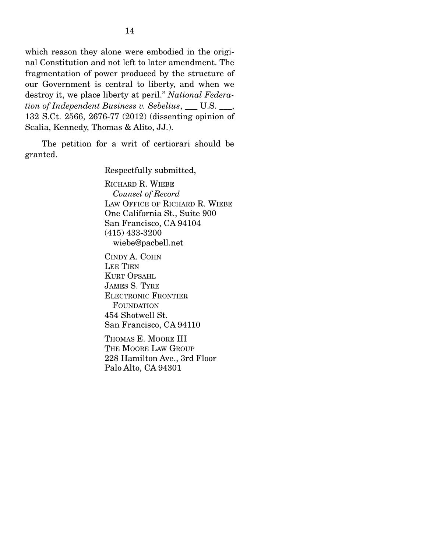which reason they alone were embodied in the original Constitution and not left to later amendment. The fragmentation of power produced by the structure of our Government is central to liberty, and when we destroy it, we place liberty at peril." *National Federation of Independent Business v. Sebelius*, \_\_\_ U.S. \_\_\_, 132 S.Ct. 2566, 2676-77 (2012) (dissenting opinion of Scalia, Kennedy, Thomas & Alito, JJ.).

 The petition for a writ of certiorari should be granted.

Respectfully submitted,

RICHARD R. WIEBE  *Counsel of Record* LAW OFFICE OF RICHARD R. WIEBE One California St., Suite 900 San Francisco, CA 94104 (415) 433-3200 wiebe@pacbell.net

CINDY A. COHN LEE TIEN KURT OPSAHL JAMES S. TYRE ELECTRONIC FRONTIER FOUNDATION 454 Shotwell St. San Francisco, CA 94110

THOMAS E. MOORE III THE MOORE LAW GROUP 228 Hamilton Ave., 3rd Floor Palo Alto, CA 94301